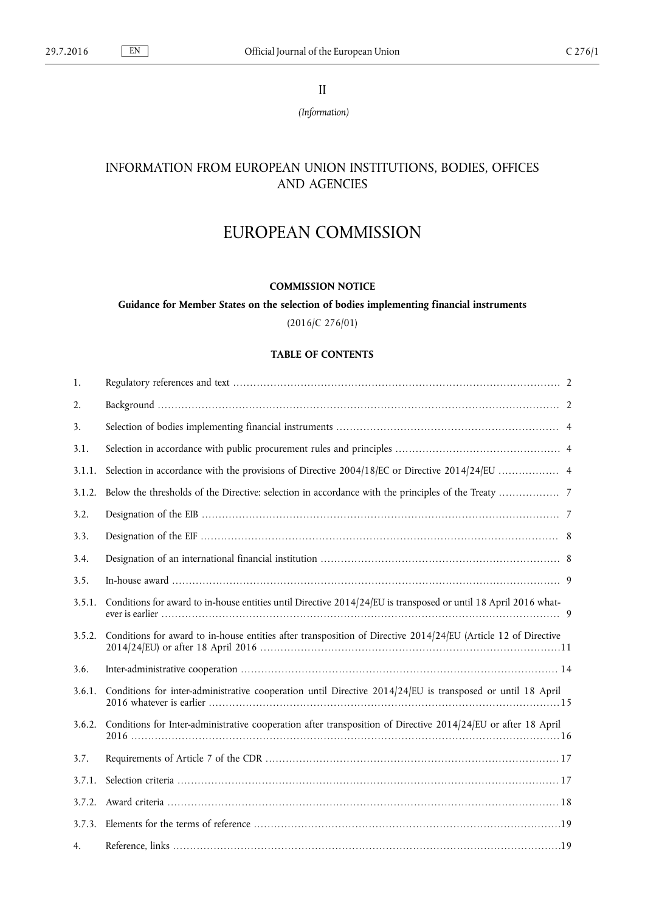II

*(Information)*

# INFORMATION FROM EUROPEAN UNION INSTITUTIONS, BODIES, OFFICES AND AGENCIES

# EUROPEAN COMMISSION

# **COMMISSION NOTICE**

**Guidance for Member States on the selection of bodies implementing financial instruments**

(2016/C 276/01)

# **TABLE OF CONTENTS**

| 1.     |                                                                                                                 |
|--------|-----------------------------------------------------------------------------------------------------------------|
| 2.     |                                                                                                                 |
| 3.     |                                                                                                                 |
| 3.1.   |                                                                                                                 |
| 3.1.1. |                                                                                                                 |
| 3.1.2. |                                                                                                                 |
| 3.2.   |                                                                                                                 |
| 3.3.   |                                                                                                                 |
| 3.4.   |                                                                                                                 |
| 3.5.   |                                                                                                                 |
| 3.5.1. | Conditions for award to in-house entities until Directive 2014/24/EU is transposed or until 18 April 2016 what- |
| 3.5.2. | Conditions for award to in-house entities after transposition of Directive 2014/24/EU (Article 12 of Directive  |
| 3.6.   |                                                                                                                 |
| 3.6.1. | Conditions for inter-administrative cooperation until Directive 2014/24/EU is transposed or until 18 April      |
| 3.6.2. | Conditions for Inter-administrative cooperation after transposition of Directive 2014/24/EU or after 18 April   |
| 3.7.   |                                                                                                                 |
| 3.7.1. |                                                                                                                 |
| 3.7.2. |                                                                                                                 |
| 3.7.3. |                                                                                                                 |
| 4.     |                                                                                                                 |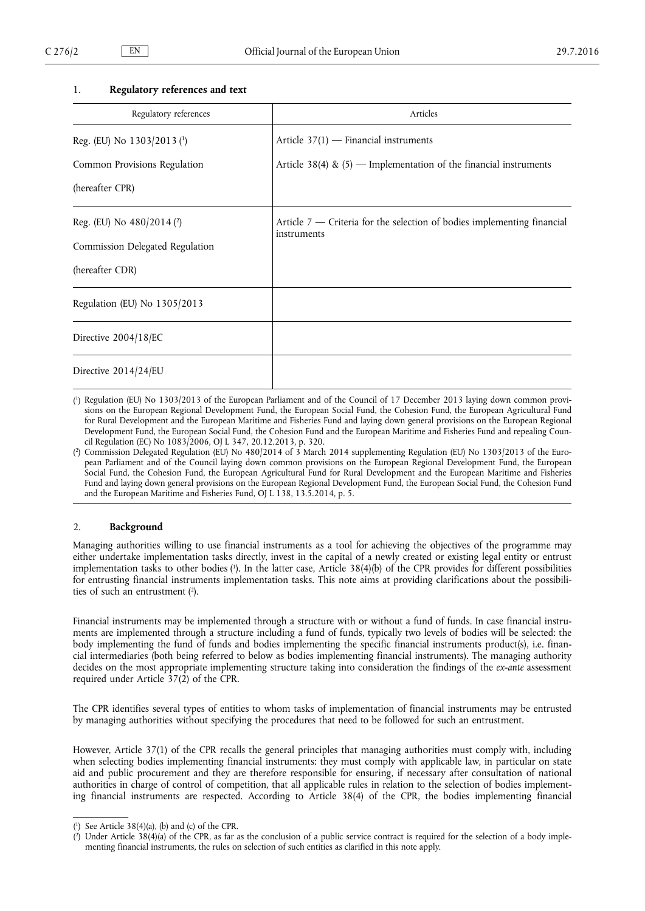#### <span id="page-1-0"></span>1. **Regulatory references and text**

| Regulatory references                     | Articles                                                                                 |
|-------------------------------------------|------------------------------------------------------------------------------------------|
| Reg. (EU) No $1303/2013$ ( <sup>1</sup> ) | Article $37(1)$ - Financial instruments                                                  |
| Common Provisions Regulation              | Article 38(4) & $(5)$ — Implementation of the financial instruments                      |
| (hereafter CPR)                           |                                                                                          |
| Reg. (EU) No $480/2014$ ( <sup>2</sup> )  | Article $7$ — Criteria for the selection of bodies implementing financial<br>instruments |
| Commission Delegated Regulation           |                                                                                          |
| (hereafter CDR)                           |                                                                                          |
| Regulation (EU) No 1305/2013              |                                                                                          |
| Directive 2004/18/EC                      |                                                                                          |
| Directive 2014/24/EU                      |                                                                                          |

( 1 ) Regulation (EU) No 1303/2013 of the European Parliament and of the Council of 17 December 2013 laying down common provisions on the European Regional Development Fund, the European Social Fund, the Cohesion Fund, the European Agricultural Fund for Rural Development and the European Maritime and Fisheries Fund and laying down general provisions on the European Regional Development Fund, the European Social Fund, the Cohesion Fund and the European Maritime and Fisheries Fund and repealing Council Regulation (EC) No 1083/2006, OJ L 347, 20.12.2013, p. 320.

( 2 ) Commission Delegated Regulation (EU) No 480/2014 of 3 March 2014 supplementing Regulation (EU) No 1303/2013 of the European Parliament and of the Council laying down common provisions on the European Regional Development Fund, the European Social Fund, the Cohesion Fund, the European Agricultural Fund for Rural Development and the European Maritime and Fisheries Fund and laying down general provisions on the European Regional Development Fund, the European Social Fund, the Cohesion Fund and the European Maritime and Fisheries Fund, OJ L 138, 13.5.2014, p. 5.

#### 2. **Background**

Managing authorities willing to use financial instruments as a tool for achieving the objectives of the programme may either undertake implementation tasks directly, invest in the capital of a newly created or existing legal entity or entrust implementation tasks to other bodies ( 1 ). In the latter case, Article 38(4)(b) of the CPR provides for different possibilities for entrusting financial instruments implementation tasks. This note aims at providing clarifications about the possibilities of such an entrustment ( 2 ).

Financial instruments may be implemented through a structure with or without a fund of funds. In case financial instruments are implemented through a structure including a fund of funds, typically two levels of bodies will be selected: the body implementing the fund of funds and bodies implementing the specific financial instruments product(s), i.e. financial intermediaries (both being referred to below as bodies implementing financial instruments). The managing authority decides on the most appropriate implementing structure taking into consideration the findings of the *ex-ante* assessment required under Article 37(2) of the CPR.

The CPR identifies several types of entities to whom tasks of implementation of financial instruments may be entrusted by managing authorities without specifying the procedures that need to be followed for such an entrustment.

However, Article 37(1) of the CPR recalls the general principles that managing authorities must comply with, including when selecting bodies implementing financial instruments: they must comply with applicable law, in particular on state aid and public procurement and they are therefore responsible for ensuring, if necessary after consultation of national authorities in charge of control of competition, that all applicable rules in relation to the selection of bodies implementing financial instruments are respected. According to Article 38(4) of the CPR, the bodies implementing financial

<sup>(</sup> 1 ) See Article 38(4)(a), (b) and (c) of the CPR.

<sup>(</sup> 2 ) Under Article 38(4)(a) of the CPR, as far as the conclusion of a public service contract is required for the selection of a body implementing financial instruments, the rules on selection of such entities as clarified in this note apply.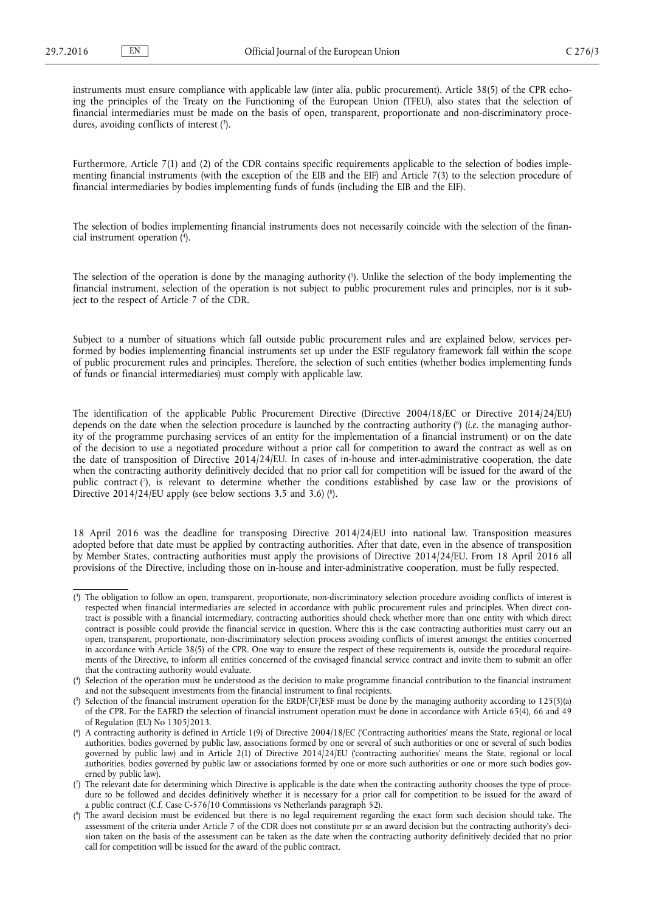instruments must ensure compliance with applicable law (inter alia, public procurement). Article 38(5) of the CPR echoing the principles of the Treaty on the Functioning of the European Union (TFEU), also states that the selection of financial intermediaries must be made on the basis of open, transparent, proportionate and non-discriminatory procedures, avoiding conflicts of interest (3).

Furthermore, Article 7(1) and (2) of the CDR contains specific requirements applicable to the selection of bodies implementing financial instruments (with the exception of the EIB and the EIF) and Article 7(3) to the selection procedure of financial intermediaries by bodies implementing funds of funds (including the EIB and the EIF).

The selection of bodies implementing financial instruments does not necessarily coincide with the selection of the financial instrument operation ( 4 ).

The selection of the operation is done by the managing authority ( 5 ). Unlike the selection of the body implementing the financial instrument, selection of the operation is not subject to public procurement rules and principles, nor is it subject to the respect of Article 7 of the CDR.

Subject to a number of situations which fall outside public procurement rules and are explained below, services performed by bodies implementing financial instruments set up under the ESIF regulatory framework fall within the scope of public procurement rules and principles. Therefore, the selection of such entities (whether bodies implementing funds of funds or financial intermediaries) must comply with applicable law.

The identification of the applicable Public Procurement Directive (Directive 2004/18/EC or Directive 2014/24/EU) depends on the date when the selection procedure is launched by the contracting authority ( 6 ) (*i.e.* the managing authority of the programme purchasing services of an entity for the implementation of a financial instrument) or on the date of the decision to use a negotiated procedure without a prior call for competition to award the contract as well as on the date of transposition of Directive 2014/24/EU. In cases of in-house and inter-administrative cooperation, the date when the contracting authority definitively decided that no prior call for competition will be issued for the award of the public contract ('), is relevant to determine whether the conditions established by case law or the provisions of Directive 2014/24/EU apply (see below sections 3.5 and 3.6) (8).

18 April 2016 was the deadline for transposing Directive 2014/24/EU into national law. Transposition measures adopted before that date must be applied by contracting authorities. After that date, even in the absence of transposition by Member States, contracting authorities must apply the provisions of Directive 2014/24/EU. From 18 April 2016 all provisions of the Directive, including those on in-house and inter-administrative cooperation, must be fully respected.

<sup>(</sup> 3 ) The obligation to follow an open, transparent, proportionate, non-discriminatory selection procedure avoiding conflicts of interest is respected when financial intermediaries are selected in accordance with public procurement rules and principles. When direct contract is possible with a financial intermediary, contracting authorities should check whether more than one entity with which direct contract is possible could provide the financial service in question. Where this is the case contracting authorities must carry out an open, transparent, proportionate, non-discriminatory selection process avoiding conflicts of interest amongst the entities concerned in accordance with Article 38(5) of the CPR. One way to ensure the respect of these requirements is, outside the procedural requirements of the Directive, to inform all entities concerned of the envisaged financial service contract and invite them to submit an offer that the contracting authority would evaluate.

<sup>(</sup> 4 ) Selection of the operation must be understood as the decision to make programme financial contribution to the financial instrument and not the subsequent investments from the financial instrument to final recipients.

<sup>(</sup> 5 ) Selection of the financial instrument operation for the ERDF/CF/ESF must be done by the managing authority according to 125(3)(a) of the CPR. For the EAFRD the selection of financial instrument operation must be done in accordance with Article 65(4), 66 and 49 of Regulation (EU) No 1305/2013.

<sup>(</sup> 6 ) A contracting authority is defined in Article 1(9) of Directive 2004/18/EC ('Contracting authorities' means the State, regional or local authorities, bodies governed by public law, associations formed by one or several of such authorities or one or several of such bodies governed by public law) and in Article 2(1) of Directive 2014/24/EU ('contracting authorities' means the State, regional or local authorities, bodies governed by public law or associations formed by one or more such authorities or one or more such bodies governed by public law).

<sup>(</sup> 7 ) The relevant date for determining which Directive is applicable is the date when the contracting authority chooses the type of procedure to be followed and decides definitively whether it is necessary for a prior call for competition to be issued for the award of a public contract (C.f. Case C-576/10 Commissions vs Netherlands paragraph 52).

<sup>(</sup> 8 ) The award decision must be evidenced but there is no legal requirement regarding the exact form such decision should take. The assessment of the criteria under Article 7 of the CDR does not constitute *per se* an award decision but the contracting authority's decision taken on the basis of the assessment can be taken as the date when the contracting authority definitively decided that no prior call for competition will be issued for the award of the public contract.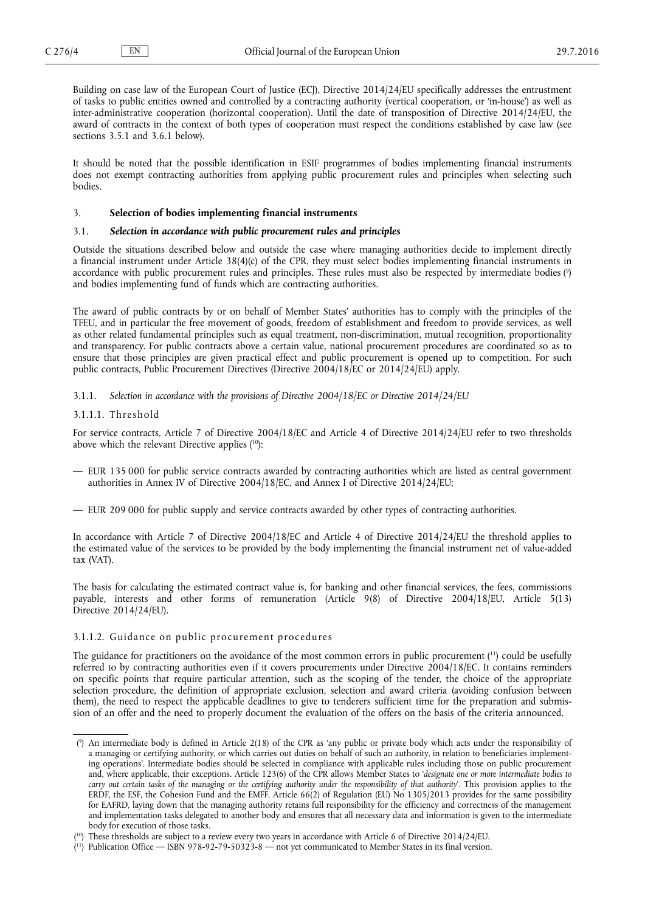<span id="page-3-0"></span>Building on case law of the European Court of Justice (ECJ), Directive 2014/24/EU specifically addresses the entrustment of tasks to public entities owned and controlled by a contracting authority (vertical cooperation, or 'in-house') as well as inter-administrative cooperation (horizontal cooperation). Until the date of transposition of Directive 2014/24/EU, the award of contracts in the context of both types of cooperation must respect the conditions established by case law (see sections 3.5.1 and 3.6.1 below).

It should be noted that the possible identification in ESIF programmes of bodies implementing financial instruments does not exempt contracting authorities from applying public procurement rules and principles when selecting such bodies.

#### 3. **Selection of bodies implementing financial instruments**

# 3.1. *Selection in accordance with public procurement rules and principles*

Outside the situations described below and outside the case where managing authorities decide to implement directly a financial instrument under Article 38(4)(c) of the CPR, they must select bodies implementing financial instruments in accordance with public procurement rules and principles. These rules must also be respected by intermediate bodies ( 9 ) and bodies implementing fund of funds which are contracting authorities.

The award of public contracts by or on behalf of Member States' authorities has to comply with the principles of the TFEU, and in particular the free movement of goods, freedom of establishment and freedom to provide services, as well as other related fundamental principles such as equal treatment, non-discrimination, mutual recognition, proportionality and transparency. For public contracts above a certain value, national procurement procedures are coordinated so as to ensure that those principles are given practical effect and public procurement is opened up to competition. For such public contracts, Public Procurement Directives (Directive 2004/18/EC or 2014/24/EU) apply.

3.1.1. *Selection in accordance with the provisions of Directive 2004/18/EC or Directive 2014/24/EU*

#### 3.1.1.1. Threshold

For service contracts, Article 7 of Directive 2004/18/EC and Article 4 of Directive 2014/24/EU refer to two thresholds above which the relevant Directive applies (<sup>10</sup>):

- EUR 135 000 for public service contracts awarded by contracting authorities which are listed as central government authorities in Annex IV of Directive 2004/18/EC, and Annex I of Directive 2014/24/EU;
- EUR 209 000 for public supply and service contracts awarded by other types of contracting authorities.

In accordance with Article 7 of Directive 2004/18/EC and Article 4 of Directive 2014/24/EU the threshold applies to the estimated value of the services to be provided by the body implementing the financial instrument net of value-added tax (VAT).

The basis for calculating the estimated contract value is, for banking and other financial services, the fees, commissions payable, interests and other forms of remuneration (Article 9(8) of Directive 2004/18/EU, Article 5(13) Directive 2014/24/EU).

## 3.1.1.2. Guidance on public procurement procedures

The guidance for practitioners on the avoidance of the most common errors in public procurement (<sup>11</sup>) could be usefully referred to by contracting authorities even if it covers procurements under Directive 2004/18/EC. It contains reminders on specific points that require particular attention, such as the scoping of the tender, the choice of the appropriate selection procedure, the definition of appropriate exclusion, selection and award criteria (avoiding confusion between them), the need to respect the applicable deadlines to give to tenderers sufficient time for the preparation and submission of an offer and the need to properly document the evaluation of the offers on the basis of the criteria announced.

<sup>(</sup> 9 ) An intermediate body is defined in Article 2(18) of the CPR as 'any public or private body which acts under the responsibility of a managing or certifying authority, or which carries out duties on behalf of such an authority, in relation to beneficiaries implementing operations'. Intermediate bodies should be selected in compliance with applicable rules including those on public procurement and, where applicable, their exceptions. Article 123(6) of the CPR allows Member States to '*designate one or more intermediate bodies to carry out certain tasks of the managing or the certifying authority under the responsibility of that authority*'. This provision applies to the ERDF, the ESF, the Cohesion Fund and the EMFF. Article 66(2) of Regulation (EU) No 1305/2013 provides for the same possibility for EAFRD, laying down that the managing authority retains full responsibility for the efficiency and correctness of the management and implementation tasks delegated to another body and ensures that all necessary data and information is given to the intermediate body for execution of those tasks.

<sup>(</sup> <sup>10</sup>) These thresholds are subject to a review every two years in accordance with Article 6 of Directive 2014/24/EU.

<sup>(</sup> <sup>11</sup>) Publication Office — ISBN 978-92-79-50323-8 — not yet communicated to Member States in its final version.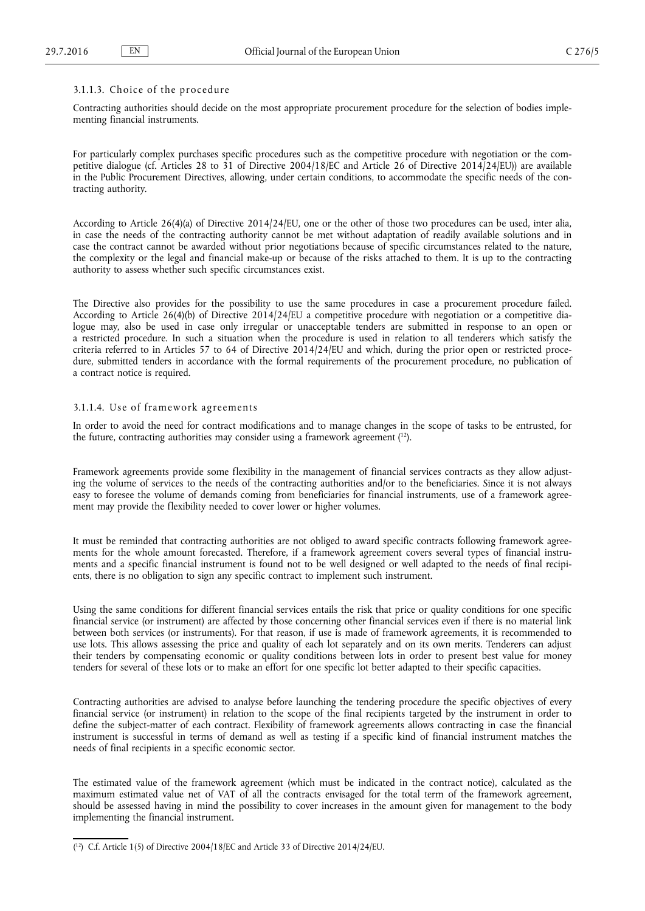#### $3.1.1.3.$  Choice of the procedure

Contracting authorities should decide on the most appropriate procurement procedure for the selection of bodies implementing financial instruments.

For particularly complex purchases specific procedures such as the competitive procedure with negotiation or the competitive dialogue (cf. Articles 28 to 31 of Directive 2004/18/EC and Article 26 of Directive 2014/24/EU)) are available in the Public Procurement Directives, allowing, under certain conditions, to accommodate the specific needs of the contracting authority.

According to Article 26(4)(a) of Directive 2014/24/EU, one or the other of those two procedures can be used, inter alia, in case the needs of the contracting authority cannot be met without adaptation of readily available solutions and in case the contract cannot be awarded without prior negotiations because of specific circumstances related to the nature, the complexity or the legal and financial make-up or because of the risks attached to them. It is up to the contracting authority to assess whether such specific circumstances exist.

The Directive also provides for the possibility to use the same procedures in case a procurement procedure failed. According to Article 26(4)(b) of Directive 2014/24/EU a competitive procedure with negotiation or a competitive dialogue may, also be used in case only irregular or unacceptable tenders are submitted in response to an open or a restricted procedure. In such a situation when the procedure is used in relation to all tenderers which satisfy the criteria referred to in Articles 57 to 64 of Directive  $2014/24/EU$  and which, during the prior open or restricted procedure, submitted tenders in accordance with the formal requirements of the procurement procedure, no publication of a contract notice is required.

# 3.1.1.4. Use of framework agreements

In order to avoid the need for contract modifications and to manage changes in the scope of tasks to be entrusted, for the future, contracting authorities may consider using a framework agreement ( <sup>12</sup>).

Framework agreements provide some flexibility in the management of financial services contracts as they allow adjusting the volume of services to the needs of the contracting authorities and/or to the beneficiaries. Since it is not always easy to foresee the volume of demands coming from beneficiaries for financial instruments, use of a framework agreement may provide the flexibility needed to cover lower or higher volumes.

It must be reminded that contracting authorities are not obliged to award specific contracts following framework agreements for the whole amount forecasted. Therefore, if a framework agreement covers several types of financial instruments and a specific financial instrument is found not to be well designed or well adapted to the needs of final recipients, there is no obligation to sign any specific contract to implement such instrument.

Using the same conditions for different financial services entails the risk that price or quality conditions for one specific financial service (or instrument) are affected by those concerning other financial services even if there is no material link between both services (or instruments). For that reason, if use is made of framework agreements, it is recommended to use lots. This allows assessing the price and quality of each lot separately and on its own merits. Tenderers can adjust their tenders by compensating economic or quality conditions between lots in order to present best value for money tenders for several of these lots or to make an effort for one specific lot better adapted to their specific capacities.

Contracting authorities are advised to analyse before launching the tendering procedure the specific objectives of every financial service (or instrument) in relation to the scope of the final recipients targeted by the instrument in order to define the subject-matter of each contract. Flexibility of framework agreements allows contracting in case the financial instrument is successful in terms of demand as well as testing if a specific kind of financial instrument matches the needs of final recipients in a specific economic sector.

The estimated value of the framework agreement (which must be indicated in the contract notice), calculated as the maximum estimated value net of VAT of all the contracts envisaged for the total term of the framework agreement, should be assessed having in mind the possibility to cover increases in the amount given for management to the body implementing the financial instrument.

<sup>(</sup> <sup>12</sup>) C.f. Article 1(5) of Directive 2004/18/EC and Article 33 of Directive 2014/24/EU.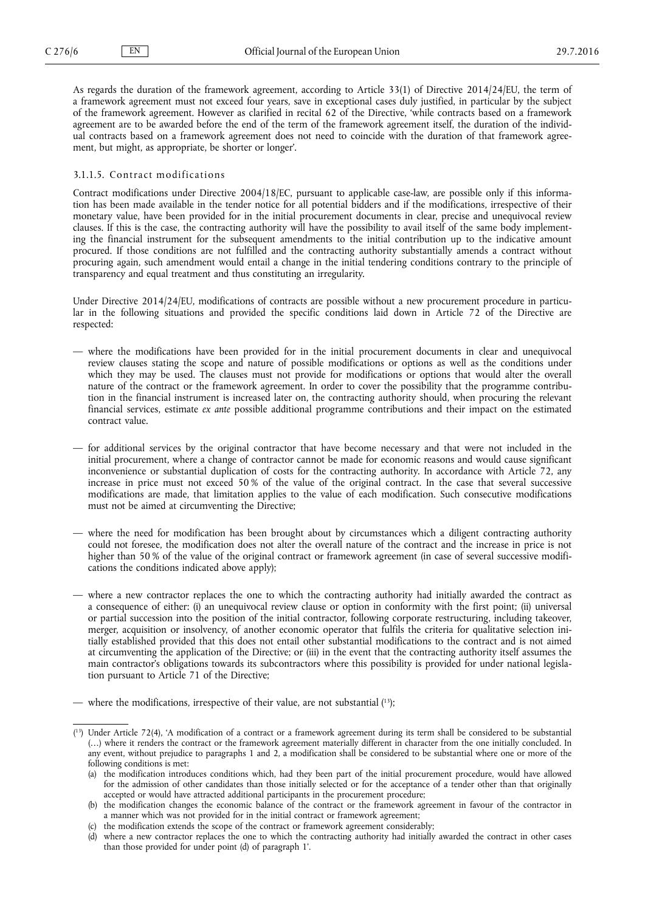As regards the duration of the framework agreement, according to Article 33(1) of Directive 2014/24/EU, the term of a framework agreement must not exceed four years, save in exceptional cases duly justified, in particular by the subject of the framework agreement. However as clarified in recital 62 of the Directive, 'while contracts based on a framework agreement are to be awarded before the end of the term of the framework agreement itself, the duration of the individual contracts based on a framework agreement does not need to coincide with the duration of that framework agreement, but might, as appropriate, be shorter or longer'.

# 3.1.1.5. Contract modifications

Contract modifications under Directive 2004/18/EC, pursuant to applicable case-law, are possible only if this information has been made available in the tender notice for all potential bidders and if the modifications, irrespective of their monetary value, have been provided for in the initial procurement documents in clear, precise and unequivocal review clauses. If this is the case, the contracting authority will have the possibility to avail itself of the same body implementing the financial instrument for the subsequent amendments to the initial contribution up to the indicative amount procured. If those conditions are not fulfilled and the contracting authority substantially amends a contract without procuring again, such amendment would entail a change in the initial tendering conditions contrary to the principle of transparency and equal treatment and thus constituting an irregularity.

Under Directive 2014/24/EU, modifications of contracts are possible without a new procurement procedure in particular in the following situations and provided the specific conditions laid down in Article 72 of the Directive are respected:

- where the modifications have been provided for in the initial procurement documents in clear and unequivocal review clauses stating the scope and nature of possible modifications or options as well as the conditions under which they may be used. The clauses must not provide for modifications or options that would alter the overall nature of the contract or the framework agreement. In order to cover the possibility that the programme contribution in the financial instrument is increased later on, the contracting authority should, when procuring the relevant financial services, estimate *ex ante* possible additional programme contributions and their impact on the estimated contract value.
- for additional services by the original contractor that have become necessary and that were not included in the initial procurement, where a change of contractor cannot be made for economic reasons and would cause significant inconvenience or substantial duplication of costs for the contracting authority. In accordance with Article 72, any increase in price must not exceed 50 % of the value of the original contract. In the case that several successive modifications are made, that limitation applies to the value of each modification. Such consecutive modifications must not be aimed at circumventing the Directive;
- where the need for modification has been brought about by circumstances which a diligent contracting authority could not foresee, the modification does not alter the overall nature of the contract and the increase in price is not higher than 50 % of the value of the original contract or framework agreement (in case of several successive modifications the conditions indicated above apply);
- where a new contractor replaces the one to which the contracting authority had initially awarded the contract as a consequence of either: (i) an unequivocal review clause or option in conformity with the first point; (ii) universal or partial succession into the position of the initial contractor, following corporate restructuring, including takeover, merger, acquisition or insolvency, of another economic operator that fulfils the criteria for qualitative selection initially established provided that this does not entail other substantial modifications to the contract and is not aimed at circumventing the application of the Directive; or (iii) in the event that the contracting authority itself assumes the main contractor's obligations towards its subcontractors where this possibility is provided for under national legislation pursuant to Article 71 of the Directive;

<sup>—</sup> where the modifications, irrespective of their value, are not substantial ( <sup>13</sup>);

<sup>(</sup> <sup>13</sup>) Under Article 72(4), 'A modification of a contract or a framework agreement during its term shall be considered to be substantial (…) where it renders the contract or the framework agreement materially different in character from the one initially concluded. In any event, without prejudice to paragraphs 1 and 2, a modification shall be considered to be substantial where one or more of the following conditions is met:

<sup>(</sup>a) the modification introduces conditions which, had they been part of the initial procurement procedure, would have allowed for the admission of other candidates than those initially selected or for the acceptance of a tender other than that originally accepted or would have attracted additional participants in the procurement procedure;

<sup>(</sup>b) the modification changes the economic balance of the contract or the framework agreement in favour of the contractor in a manner which was not provided for in the initial contract or framework agreement;

 $(c)$  the modification extends the scope of the contract or framework agreement considerably;

<sup>(</sup>d) where a new contractor replaces the one to which the contracting authority had initially awarded the contract in other cases than those provided for under point (d) of paragraph 1'.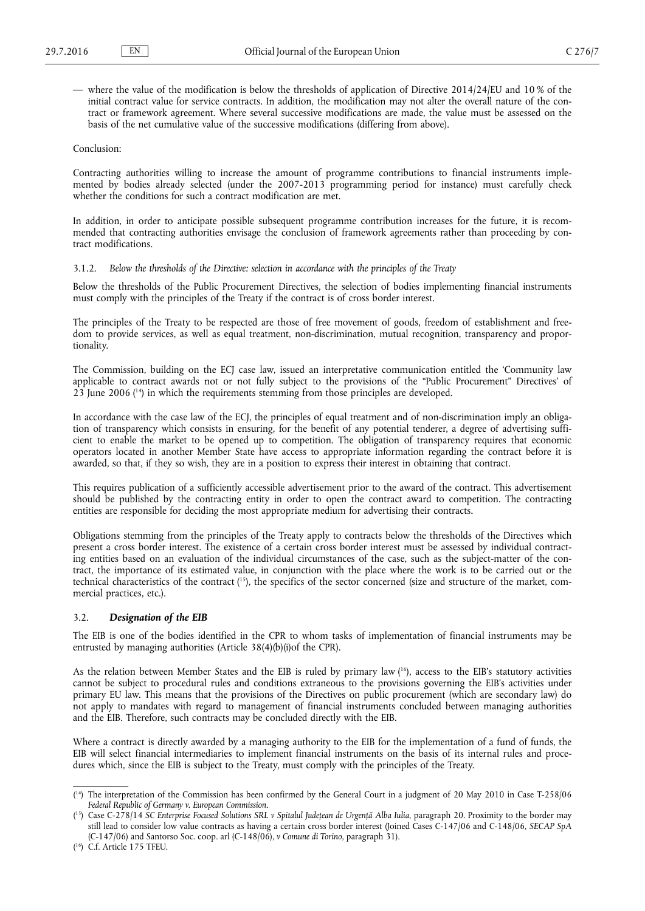<span id="page-6-0"></span>— where the value of the modification is below the thresholds of application of Directive 2014/24/EU and 10 % of the initial contract value for service contracts. In addition, the modification may not alter the overall nature of the contract or framework agreement. Where several successive modifications are made, the value must be assessed on the basis of the net cumulative value of the successive modifications (differing from above).

# Conclusion:

Contracting authorities willing to increase the amount of programme contributions to financial instruments implemented by bodies already selected (under the 2007-2013 programming period for instance) must carefully check whether the conditions for such a contract modification are met.

In addition, in order to anticipate possible subsequent programme contribution increases for the future, it is recommended that contracting authorities envisage the conclusion of framework agreements rather than proceeding by contract modifications.

# 3.1.2. *Below the thresholds of the Directive: selection in accordance with the principles of the Treaty*

Below the thresholds of the Public Procurement Directives, the selection of bodies implementing financial instruments must comply with the principles of the Treaty if the contract is of cross border interest.

The principles of the Treaty to be respected are those of free movement of goods, freedom of establishment and freedom to provide services, as well as equal treatment, non-discrimination, mutual recognition, transparency and proportionality.

The Commission, building on the ECJ case law, issued an interpretative communication entitled the 'Community law applicable to contract awards not or not fully subject to the provisions of the "Public Procurement" Directives' of 23 June 2006 ( <sup>14</sup>) in which the requirements stemming from those principles are developed.

In accordance with the case law of the ECJ, the principles of equal treatment and of non-discrimination imply an obligation of transparency which consists in ensuring, for the benefit of any potential tenderer, a degree of advertising sufficient to enable the market to be opened up to competition. The obligation of transparency requires that economic operators located in another Member State have access to appropriate information regarding the contract before it is awarded, so that, if they so wish, they are in a position to express their interest in obtaining that contract.

This requires publication of a sufficiently accessible advertisement prior to the award of the contract. This advertisement should be published by the contracting entity in order to open the contract award to competition. The contracting entities are responsible for deciding the most appropriate medium for advertising their contracts.

Obligations stemming from the principles of the Treaty apply to contracts below the thresholds of the Directives which present a cross border interest. The existence of a certain cross border interest must be assessed by individual contracting entities based on an evaluation of the individual circumstances of the case, such as the subject-matter of the contract, the importance of its estimated value, in conjunction with the place where the work is to be carried out or the technical characteristics of the contract (<sup>15</sup>), the specifics of the sector concerned (size and structure of the market, commercial practices, etc.).

# 3.2. *Designation of the EIB*

The EIB is one of the bodies identified in the CPR to whom tasks of implementation of financial instruments may be entrusted by managing authorities (Article 38(4)(b)(i)of the CPR).

As the relation between Member States and the EIB is ruled by primary law ( <sup>16</sup>), access to the EIB's statutory activities cannot be subject to procedural rules and conditions extraneous to the provisions governing the EIB's activities under primary EU law. This means that the provisions of the Directives on public procurement (which are secondary law) do not apply to mandates with regard to management of financial instruments concluded between managing authorities and the EIB. Therefore, such contracts may be concluded directly with the EIB.

Where a contract is directly awarded by a managing authority to the EIB for the implementation of a fund of funds, the EIB will select financial intermediaries to implement financial instruments on the basis of its internal rules and procedures which, since the EIB is subject to the Treaty, must comply with the principles of the Treaty.

<sup>(</sup> <sup>14</sup>) The interpretation of the Commission has been confirmed by the General Court in a judgment of 20 May 2010 in Case T-258/06 *Federal Republic of Germany v. European Commission*.

<sup>(</sup> <sup>15</sup>) Case C-278/14 *SC Enterprise Focused Solutions SRL v Spitalul Județean de Urgență Alba Iulia*, paragraph 20. Proximity to the border may still lead to consider low value contracts as having a certain cross border interest (Joined Cases C-147/06 and C-148/06, *SECAP SpA*  (C-147/06) and Santorso Soc. coop. arl (C-148/06), *v Comune di Torino*, paragraph 31).

<sup>(</sup> <sup>16</sup>) C.f. Article 175 TFEU.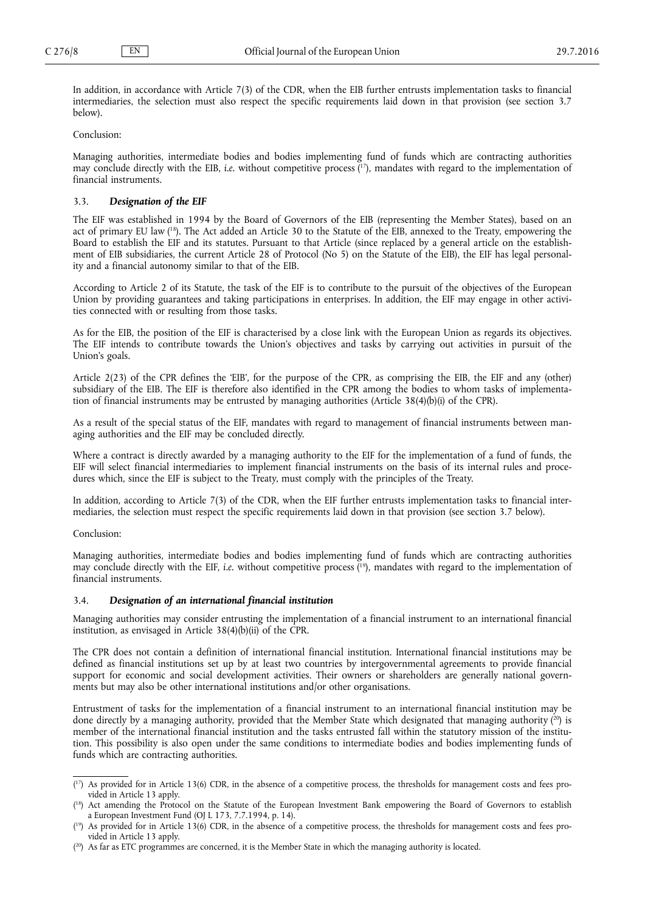<span id="page-7-0"></span>In addition, in accordance with Article 7(3) of the CDR, when the EIB further entrusts implementation tasks to financial intermediaries, the selection must also respect the specific requirements laid down in that provision (see section 3.7 below).

Conclusion:

Managing authorities, intermediate bodies and bodies implementing fund of funds which are contracting authorities may conclude directly with the EIB, *i.e.* without competitive process ( <sup>17</sup>), mandates with regard to the implementation of financial instruments.

# 3.3. *Designation of the EIF*

The EIF was established in 1994 by the Board of Governors of the EIB (representing the Member States), based on an act of primary EU law ( <sup>18</sup>). The Act added an Article 30 to the Statute of the EIB, annexed to the Treaty, empowering the Board to establish the EIF and its statutes. Pursuant to that Article (since replaced by a general article on the establishment of EIB subsidiaries, the current Article 28 of Protocol (No 5) on the Statute of the EIB), the EIF has legal personality and a financial autonomy similar to that of the EIB.

According to Article 2 of its Statute, the task of the EIF is to contribute to the pursuit of the objectives of the European Union by providing guarantees and taking participations in enterprises. In addition, the EIF may engage in other activities connected with or resulting from those tasks.

As for the EIB, the position of the EIF is characterised by a close link with the European Union as regards its objectives. The EIF intends to contribute towards the Union's objectives and tasks by carrying out activities in pursuit of the Union's goals.

Article 2(23) of the CPR defines the 'EIB', for the purpose of the CPR, as comprising the EIB, the EIF and any (other) subsidiary of the EIB. The EIF is therefore also identified in the CPR among the bodies to whom tasks of implementation of financial instruments may be entrusted by managing authorities (Article 38(4)(b)(i) of the CPR).

As a result of the special status of the EIF, mandates with regard to management of financial instruments between managing authorities and the EIF may be concluded directly.

Where a contract is directly awarded by a managing authority to the EIF for the implementation of a fund of funds, the EIF will select financial intermediaries to implement financial instruments on the basis of its internal rules and procedures which, since the EIF is subject to the Treaty, must comply with the principles of the Treaty.

In addition, according to Article 7(3) of the CDR, when the EIF further entrusts implementation tasks to financial intermediaries, the selection must respect the specific requirements laid down in that provision (see section 3.7 below).

Conclusion:

Managing authorities, intermediate bodies and bodies implementing fund of funds which are contracting authorities may conclude directly with the EIF, *i.e.* without competitive process ( <sup>19</sup>), mandates with regard to the implementation of financial instruments.

#### 3.4. *Designation of an international financial institution*

Managing authorities may consider entrusting the implementation of a financial instrument to an international financial institution, as envisaged in Article 38(4)(b)(ii) of the CPR.

The CPR does not contain a definition of international financial institution. International financial institutions may be defined as financial institutions set up by at least two countries by intergovernmental agreements to provide financial support for economic and social development activities. Their owners or shareholders are generally national governments but may also be other international institutions and/or other organisations.

Entrustment of tasks for the implementation of a financial instrument to an international financial institution may be done directly by a managing authority, provided that the Member State which designated that managing authority (<sup>20</sup>) is member of the international financial institution and the tasks entrusted fall within the statutory mission of the institution. This possibility is also open under the same conditions to intermediate bodies and bodies implementing funds of funds which are contracting authorities.

<sup>(</sup> <sup>17</sup>) As provided for in Article 13(6) CDR, in the absence of a competitive process, the thresholds for management costs and fees provided in Article 13 apply.

<sup>&</sup>lt;sup>(18</sup>) Act amending the Protocol on the Statute of the European Investment Bank empowering the Board of Governors to establish a European Investment Fund (OJ L 173, 7.7.1994, p. 14).

<sup>(</sup> <sup>19</sup>) As provided for in Article 13(6) CDR, in the absence of a competitive process, the thresholds for management costs and fees provided in Article 13 apply.

 $(2^{\circ})$  As far as ETC programmes are concerned, it is the Member State in which the managing authority is located.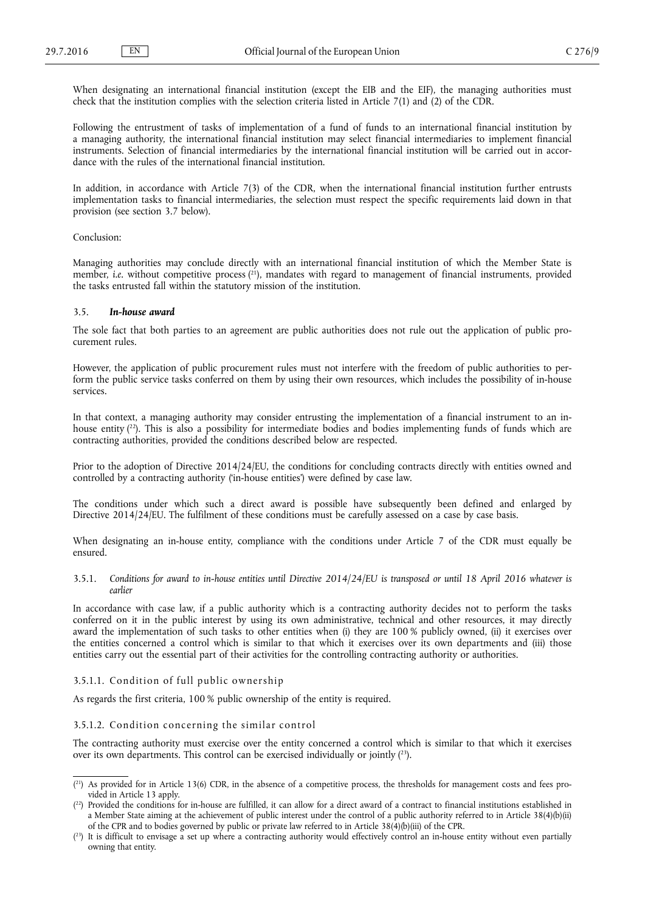<span id="page-8-0"></span>When designating an international financial institution (except the EIB and the EIF), the managing authorities must check that the institution complies with the selection criteria listed in Article 7(1) and (2) of the CDR.

Following the entrustment of tasks of implementation of a fund of funds to an international financial institution by a managing authority, the international financial institution may select financial intermediaries to implement financial instruments. Selection of financial intermediaries by the international financial institution will be carried out in accordance with the rules of the international financial institution.

In addition, in accordance with Article 7(3) of the CDR, when the international financial institution further entrusts implementation tasks to financial intermediaries, the selection must respect the specific requirements laid down in that provision (see section 3.7 below).

#### Conclusion:

Managing authorities may conclude directly with an international financial institution of which the Member State is member, *i.e.* without competitive process ( <sup>21</sup>), mandates with regard to management of financial instruments, provided the tasks entrusted fall within the statutory mission of the institution.

#### 3.5. *In-house award*

The sole fact that both parties to an agreement are public authorities does not rule out the application of public procurement rules.

However, the application of public procurement rules must not interfere with the freedom of public authorities to perform the public service tasks conferred on them by using their own resources, which includes the possibility of in-house services.

In that context, a managing authority may consider entrusting the implementation of a financial instrument to an inhouse entity ( <sup>22</sup>). This is also a possibility for intermediate bodies and bodies implementing funds of funds which are contracting authorities, provided the conditions described below are respected.

Prior to the adoption of Directive 2014/24/EU, the conditions for concluding contracts directly with entities owned and controlled by a contracting authority ('in-house entities') were defined by case law.

The conditions under which such a direct award is possible have subsequently been defined and enlarged by Directive 2014/24/EU. The fulfilment of these conditions must be carefully assessed on a case by case basis.

When designating an in-house entity, compliance with the conditions under Article 7 of the CDR must equally be ensured.

3.5.1. *Conditions for award to in-house entities until Directive 2014/24/EU is transposed or until 18 April 2016 whatever is earlier*

In accordance with case law, if a public authority which is a contracting authority decides not to perform the tasks conferred on it in the public interest by using its own administrative, technical and other resources, it may directly award the implementation of such tasks to other entities when (i) they are 100 % publicly owned, (ii) it exercises over the entities concerned a control which is similar to that which it exercises over its own departments and (iii) those entities carry out the essential part of their activities for the controlling contracting authority or authorities.

# 3.5.1.1. Condition of full public ownership

As regards the first criteria, 100 % public ownership of the entity is required.

## 3.5.1.2. Condition concerning the similar control

The contracting authority must exercise over the entity concerned a control which is similar to that which it exercises over its own departments. This control can be exercised individually or jointly ( <sup>23</sup>).

 $(2<sup>1</sup>)$  As provided for in Article 13(6) CDR, in the absence of a competitive process, the thresholds for management costs and fees provided in Article 13 apply.

 $(2^2)$  Provided the conditions for in-house are fulfilled, it can allow for a direct award of a contract to financial institutions established in a Member State aiming at the achievement of public interest under the control of a public authority referred to in Article 38(4)(b)(ii) of the CPR and to bodies governed by public or private law referred to in Article 38(4)(b)(iii) of the CPR.

 $(2^3)$  It is difficult to envisage a set up where a contracting authority would effectively control an in-house entity without even partially owning that entity.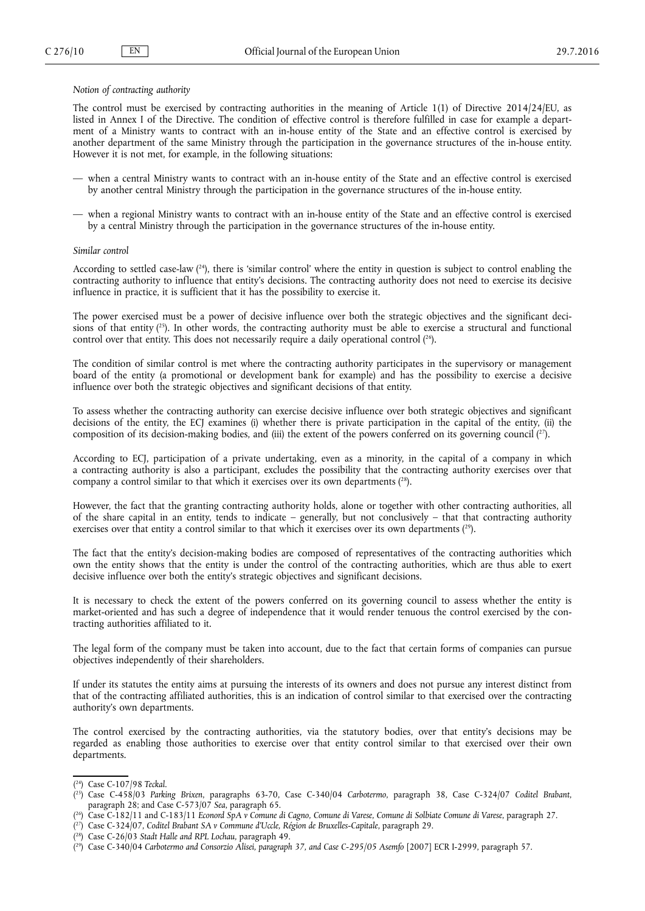# *Notion of contracting authority*

The control must be exercised by contracting authorities in the meaning of Article 1(1) of Directive 2014/24/EU, as listed in Annex I of the Directive. The condition of effective control is therefore fulfilled in case for example a department of a Ministry wants to contract with an in-house entity of the State and an effective control is exercised by another department of the same Ministry through the participation in the governance structures of the in-house entity. However it is not met, for example, in the following situations:

- when a central Ministry wants to contract with an in-house entity of the State and an effective control is exercised by another central Ministry through the participation in the governance structures of the in-house entity.
- when a regional Ministry wants to contract with an in-house entity of the State and an effective control is exercised by a central Ministry through the participation in the governance structures of the in-house entity.

#### *Similar control*

According to settled case-law ( <sup>24</sup>), there is 'similar control' where the entity in question is subject to control enabling the contracting authority to influence that entity's decisions. The contracting authority does not need to exercise its decisive influence in practice, it is sufficient that it has the possibility to exercise it.

The power exercised must be a power of decisive influence over both the strategic objectives and the significant decisions of that entity  $(^{25})$ . In other words, the contracting authority must be able to exercise a structural and functional control over that entity. This does not necessarily require a daily operational control  $(^{26})$ .

The condition of similar control is met where the contracting authority participates in the supervisory or management board of the entity (a promotional or development bank for example) and has the possibility to exercise a decisive influence over both the strategic objectives and significant decisions of that entity.

To assess whether the contracting authority can exercise decisive influence over both strategic objectives and significant decisions of the entity, the ECJ examines (i) whether there is private participation in the capital of the entity, (ii) the composition of its decision-making bodies, and (iii) the extent of the powers conferred on its governing council  $\binom{2}{1}$ .

According to ECJ, participation of a private undertaking, even as a minority, in the capital of a company in which a contracting authority is also a participant, excludes the possibility that the contracting authority exercises over that company a control similar to that which it exercises over its own departments  $(^{28})$ .

However, the fact that the granting contracting authority holds, alone or together with other contracting authorities, all of the share capital in an entity, tends to indicate – generally, but not conclusively – that that contracting authority exercises over that entity a control similar to that which it exercises over its own departments ( <sup>29</sup>).

The fact that the entity's decision-making bodies are composed of representatives of the contracting authorities which own the entity shows that the entity is under the control of the contracting authorities, which are thus able to exert decisive influence over both the entity's strategic objectives and significant decisions.

It is necessary to check the extent of the powers conferred on its governing council to assess whether the entity is market-oriented and has such a degree of independence that it would render tenuous the control exercised by the contracting authorities affiliated to it.

The legal form of the company must be taken into account, due to the fact that certain forms of companies can pursue objectives independently of their shareholders.

If under its statutes the entity aims at pursuing the interests of its owners and does not pursue any interest distinct from that of the contracting affiliated authorities, this is an indication of control similar to that exercised over the contracting authority's own departments.

The control exercised by the contracting authorities, via the statutory bodies, over that entity's decisions may be regarded as enabling those authorities to exercise over that entity control similar to that exercised over their own departments.

- ( <sup>26</sup>) Case C-182/11 and C-183/11 *Econord SpA v Comune di Cagno, Comune di Varese, Comune di Solbiate Comune di Varese*, paragraph 27.
- ( <sup>27</sup>) Case C-324/07, *Coditel Brabant SA v Commune d'Uccle, Région de Bruxelles-Capitale*, paragraph 29.

<sup>(</sup> <sup>24</sup>) Case C-107/98 *Teckal*.

<sup>(</sup> <sup>25</sup>) Case C-458/03 *Parking Brixen*, paragraphs 63-70, Case C-340/04 *Carbotermo*, paragraph 38, Case C-324/07 *Coditel Brabant*, paragraph 28; and Case C-573/07 *Sea*, paragraph 65.

<sup>(</sup> <sup>28</sup>) Case C-26/03 *Stadt Halle and RPL Lochau,* paragraph 49.

<sup>(</sup> <sup>29</sup>) Case C-340/04 *Carbotermo and Consorzio Alisei, paragraph 37, and Case C-295/05 Asemfo* [2007] ECR I-2999, paragraph 57.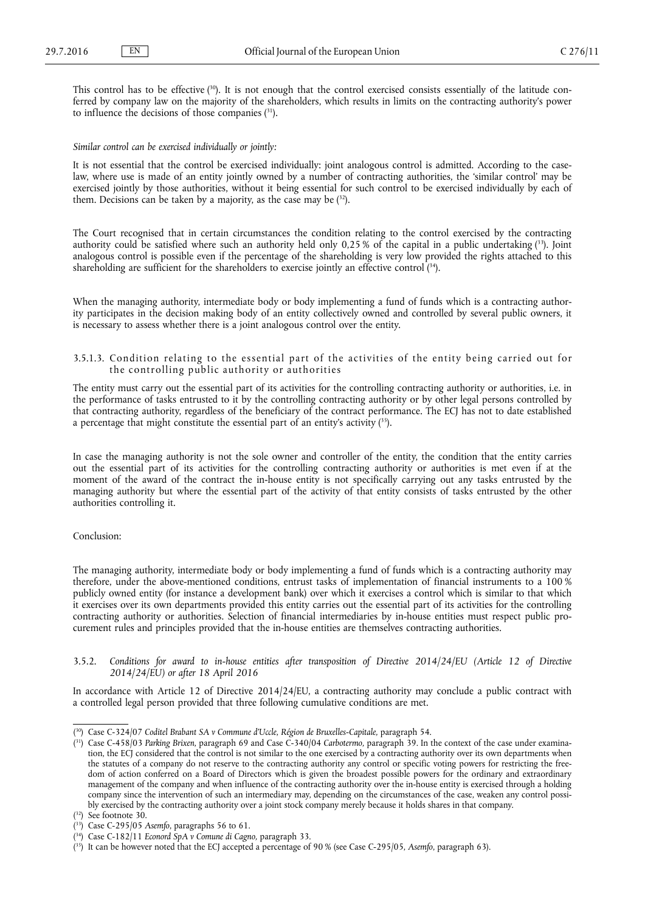<span id="page-10-0"></span>This control has to be effective ( 30). It is not enough that the control exercised consists essentially of the latitude conferred by company law on the majority of the shareholders, which results in limits on the contracting authority's power to influence the decisions of those companies ( <sup>31</sup>).

#### *Similar control can be exercised individually or jointly:*

It is not essential that the control be exercised individually: joint analogous control is admitted. According to the caselaw, where use is made of an entity jointly owned by a number of contracting authorities, the 'similar control' may be exercised jointly by those authorities, without it being essential for such control to be exercised individually by each of them. Decisions can be taken by a majority, as the case may be ( <sup>32</sup>).

The Court recognised that in certain circumstances the condition relating to the control exercised by the contracting authority could be satisfied where such an authority held only 0,25% of the capital in a public undertaking (33). Joint analogous control is possible even if the percentage of the shareholding is very low provided the rights attached to this shareholding are sufficient for the shareholders to exercise jointly an effective control ( <sup>34</sup>).

When the managing authority, intermediate body or body implementing a fund of funds which is a contracting authority participates in the decision making body of an entity collectively owned and controlled by several public owners, it is necessary to assess whether there is a joint analogous control over the entity.

3.5.1.3. Condition relating to the essential part of the activities of the entity being carried out for the controlling public authority or authorities

The entity must carry out the essential part of its activities for the controlling contracting authority or authorities, i.e. in the performance of tasks entrusted to it by the controlling contracting authority or by other legal persons controlled by that contracting authority, regardless of the beneficiary of the contract performance. The ECJ has not to date established a percentage that might constitute the essential part of an entity's activity  $(^{35})$ .

In case the managing authority is not the sole owner and controller of the entity, the condition that the entity carries out the essential part of its activities for the controlling contracting authority or authorities is met even if at the moment of the award of the contract the in-house entity is not specifically carrying out any tasks entrusted by the managing authority but where the essential part of the activity of that entity consists of tasks entrusted by the other authorities controlling it.

#### Conclusion:

The managing authority, intermediate body or body implementing a fund of funds which is a contracting authority may therefore, under the above-mentioned conditions, entrust tasks of implementation of financial instruments to a 100 % publicly owned entity (for instance a development bank) over which it exercises a control which is similar to that which it exercises over its own departments provided this entity carries out the essential part of its activities for the controlling contracting authority or authorities. Selection of financial intermediaries by in-house entities must respect public procurement rules and principles provided that the in-house entities are themselves contracting authorities.

3.5.2. *Conditions for award to in-house entities after transposition of Directive 2014/24/EU (Article 12 of Directive 2014/24/EU) or after 18 April 2016*

In accordance with Article 12 of Directive 2014/24/EU, a contracting authority may conclude a public contract with a controlled legal person provided that three following cumulative conditions are met.

<sup>(</sup> <sup>30</sup>) Case C-324/07 *Coditel Brabant SA v Commune d'Uccle, Région de Bruxelles-Capitale,* paragraph 54.

<sup>(</sup> <sup>31</sup>) Case C-458/03 *Parking Brixen,* paragraph 69 and Case C-340/04 *Carbotermo,* paragraph 39. In the context of the case under examination, the ECJ considered that the control is not similar to the one exercised by a contracting authority over its own departments when the statutes of a company do not reserve to the contracting authority any control or specific voting powers for restricting the freedom of action conferred on a Board of Directors which is given the broadest possible powers for the ordinary and extraordinary management of the company and when influence of the contracting authority over the in-house entity is exercised through a holding company since the intervention of such an intermediary may, depending on the circumstances of the case, weaken any control possibly exercised by the contracting authority over a joint stock company merely because it holds shares in that company.

<sup>(</sup> <sup>32</sup>) See footnote 30.

<sup>(</sup> <sup>33</sup>) Case C-295/05 *Asemfo*, paragraphs 56 to 61.

<sup>(</sup> <sup>34</sup>) Case C-182/11 *Econord SpA v Comune di Cagno,* paragraph 33.

<sup>(</sup> <sup>35</sup>) It can be however noted that the ECJ accepted a percentage of 90 % (see Case C-295/05, *Asemfo*, paragraph 63).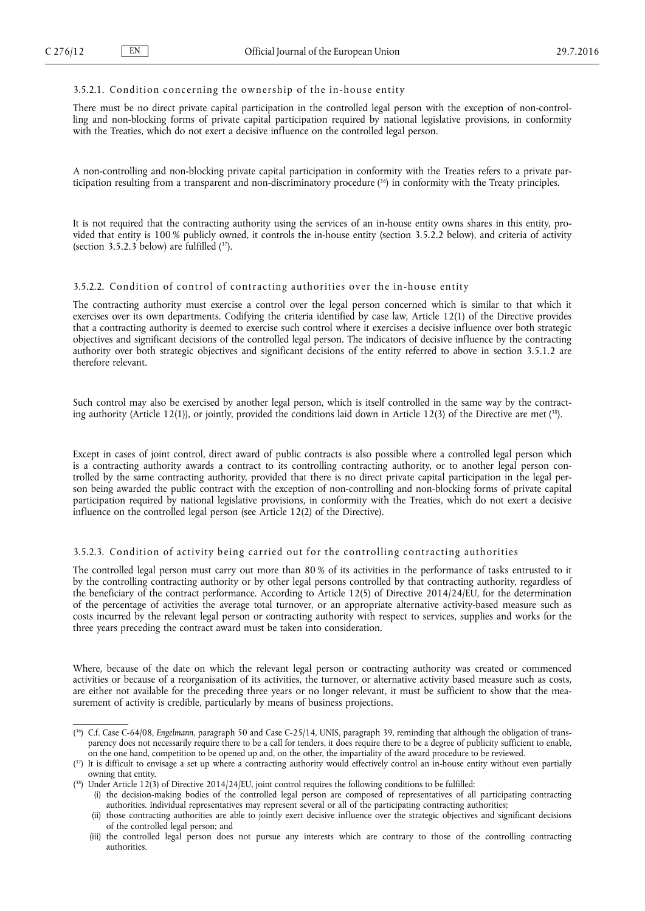# 3.5.2.1. Condition concerning the ownership of the in-house entity

There must be no direct private capital participation in the controlled legal person with the exception of non-controlling and non-blocking forms of private capital participation required by national legislative provisions, in conformity with the Treaties, which do not exert a decisive influence on the controlled legal person.

A non-controlling and non-blocking private capital participation in conformity with the Treaties refers to a private participation resulting from a transparent and non-discriminatory procedure ( <sup>36</sup>) in conformity with the Treaty principles.

It is not required that the contracting authority using the services of an in-house entity owns shares in this entity, provided that entity is 100 % publicly owned, it controls the in-house entity (section 3.5.2.2 below), and criteria of activity (section 3.5.2.3 below) are fulfilled  $(37)$ .

# 3.5.2.2. Condition of control of contracting authorities over the in-house entity

The contracting authority must exercise a control over the legal person concerned which is similar to that which it exercises over its own departments. Codifying the criteria identified by case law, Article 12(1) of the Directive provides that a contracting authority is deemed to exercise such control where it exercises a decisive influence over both strategic objectives and significant decisions of the controlled legal person. The indicators of decisive influence by the contracting authority over both strategic objectives and significant decisions of the entity referred to above in section 3.5.1.2 are therefore relevant.

Such control may also be exercised by another legal person, which is itself controlled in the same way by the contracting authority (Article 12(1)), or jointly, provided the conditions laid down in Article 12(3) of the Directive are met ( <sup>38</sup>).

Except in cases of joint control, direct award of public contracts is also possible where a controlled legal person which is a contracting authority awards a contract to its controlling contracting authority, or to another legal person controlled by the same contracting authority, provided that there is no direct private capital participation in the legal person being awarded the public contract with the exception of non-controlling and non-blocking forms of private capital participation required by national legislative provisions, in conformity with the Treaties, which do not exert a decisive influence on the controlled legal person (see Article 12(2) of the Directive).

# 3.5.2.3. Condition of activity being carried out for the controlling contracting authorities

The controlled legal person must carry out more than 80 % of its activities in the performance of tasks entrusted to it by the controlling contracting authority or by other legal persons controlled by that contracting authority, regardless of the beneficiary of the contract performance. According to Article 12(5) of Directive 2014/24/EU, for the determination of the percentage of activities the average total turnover, or an appropriate alternative activity-based measure such as costs incurred by the relevant legal person or contracting authority with respect to services, supplies and works for the three years preceding the contract award must be taken into consideration.

Where, because of the date on which the relevant legal person or contracting authority was created or commenced activities or because of a reorganisation of its activities, the turnover, or alternative activity based measure such as costs, are either not available for the preceding three years or no longer relevant, it must be sufficient to show that the measurement of activity is credible, particularly by means of business projections.

<sup>(</sup> <sup>36</sup>) C.f. Case C-64/08, *Engelmann*, paragraph 50 and Case C-25/14, UNIS, paragraph 39, reminding that although the obligation of transparency does not necessarily require there to be a call for tenders, it does require there to be a degree of publicity sufficient to enable, on the one hand, competition to be opened up and, on the other, the impartiality of the award procedure to be reviewed.

<sup>(</sup> <sup>37</sup>) It is difficult to envisage a set up where a contracting authority would effectively control an in-house entity without even partially owning that entity.

<sup>&</sup>lt;sup>{38}</sup> Under Article 12(3) of Directive 2014/24/EU, joint control requires the following conditions to be fulfilled:

<sup>(</sup>i) the decision-making bodies of the controlled legal person are composed of representatives of all participating contracting authorities. Individual representatives may represent several or all of the participating contracting authorities;

<sup>(</sup>ii) those contracting authorities are able to jointly exert decisive influence over the strategic objectives and significant decisions of the controlled legal person; and

<sup>(</sup>iii) the controlled legal person does not pursue any interests which are contrary to those of the controlling contracting authorities.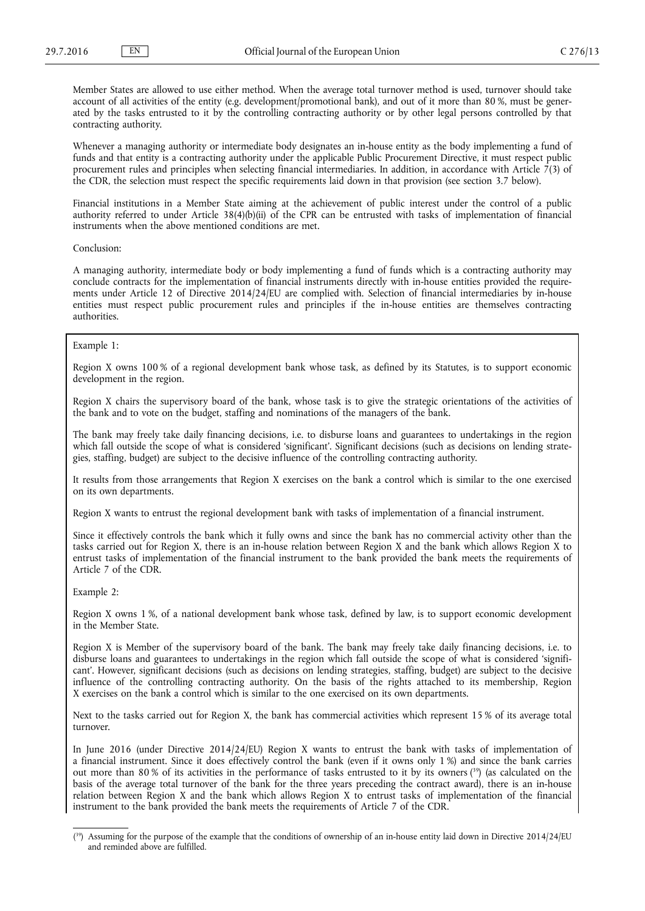Member States are allowed to use either method. When the average total turnover method is used, turnover should take account of all activities of the entity (e.g. development/promotional bank), and out of it more than 80 %, must be generated by the tasks entrusted to it by the controlling contracting authority or by other legal persons controlled by that contracting authority.

Whenever a managing authority or intermediate body designates an in-house entity as the body implementing a fund of funds and that entity is a contracting authority under the applicable Public Procurement Directive, it must respect public procurement rules and principles when selecting financial intermediaries. In addition, in accordance with Article  $\frac{7}{3}$  of the CDR, the selection must respect the specific requirements laid down in that provision (see section 3.7 below).

Financial institutions in a Member State aiming at the achievement of public interest under the control of a public authority referred to under Article 38(4)(b)(ii) of the CPR can be entrusted with tasks of implementation of financial instruments when the above mentioned conditions are met.

Conclusion:

A managing authority, intermediate body or body implementing a fund of funds which is a contracting authority may conclude contracts for the implementation of financial instruments directly with in-house entities provided the requirements under Article 12 of Directive 2014/24/EU are complied with. Selection of financial intermediaries by in-house entities must respect public procurement rules and principles if the in-house entities are themselves contracting authorities.

## Example 1:

Region X owns 100 % of a regional development bank whose task, as defined by its Statutes, is to support economic development in the region.

Region X chairs the supervisory board of the bank, whose task is to give the strategic orientations of the activities of the bank and to vote on the budget, staffing and nominations of the managers of the bank.

The bank may freely take daily financing decisions, i.e. to disburse loans and guarantees to undertakings in the region which fall outside the scope of what is considered 'significant'. Significant decisions (such as decisions on lending strategies, staffing, budget) are subject to the decisive influence of the controlling contracting authority.

It results from those arrangements that Region X exercises on the bank a control which is similar to the one exercised on its own departments.

Region X wants to entrust the regional development bank with tasks of implementation of a financial instrument.

Since it effectively controls the bank which it fully owns and since the bank has no commercial activity other than the tasks carried out for Region X, there is an in-house relation between Region X and the bank which allows Region X to entrust tasks of implementation of the financial instrument to the bank provided the bank meets the requirements of Article 7 of the CDR.

Example 2:

Region X owns 1 %, of a national development bank whose task, defined by law, is to support economic development in the Member State.

Region X is Member of the supervisory board of the bank. The bank may freely take daily financing decisions, i.e. to disburse loans and guarantees to undertakings in the region which fall outside the scope of what is considered 'significant'. However, significant decisions (such as decisions on lending strategies, staffing, budget) are subject to the decisive influence of the controlling contracting authority. On the basis of the rights attached to its membership, Region X exercises on the bank a control which is similar to the one exercised on its own departments.

Next to the tasks carried out for Region X, the bank has commercial activities which represent 15 % of its average total turnover.

In June 2016 (under Directive 2014/24/EU) Region X wants to entrust the bank with tasks of implementation of a financial instrument. Since it does effectively control the bank (even if it owns only 1 %) and since the bank carries out more than 80 % of its activities in the performance of tasks entrusted to it by its owners ( <sup>39</sup>) (as calculated on the basis of the average total turnover of the bank for the three years preceding the contract award), there is an in-house relation between Region X and the bank which allows Region X to entrust tasks of implementation of the financial instrument to the bank provided the bank meets the requirements of Article 7 of the CDR.

<sup>&</sup>lt;sup>(39</sup>) Assuming for the purpose of the example that the conditions of ownership of an in-house entity laid down in Directive 2014/24/EU and reminded above are fulfilled.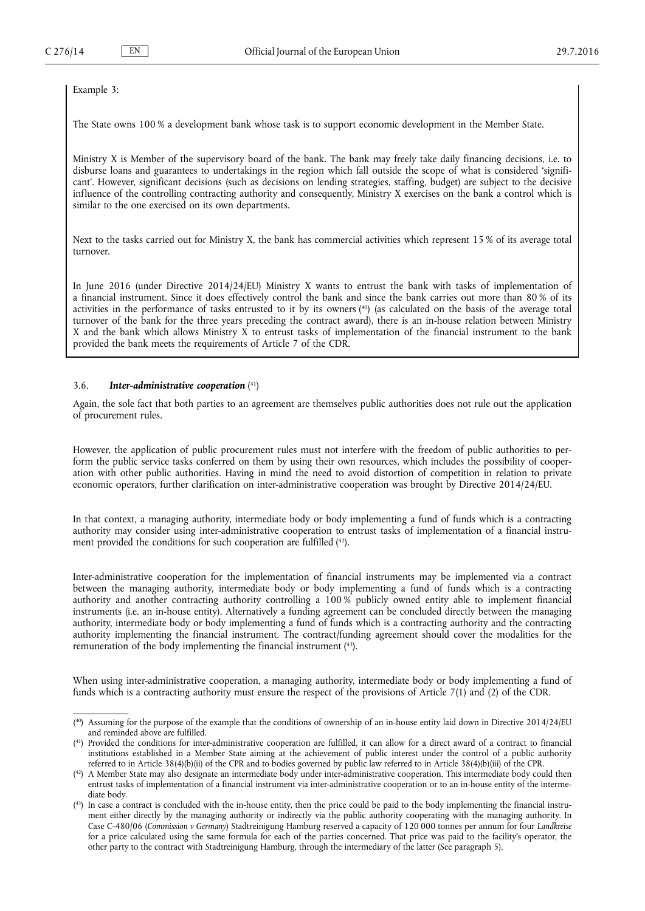<span id="page-13-0"></span>Example 3:

The State owns 100 % a development bank whose task is to support economic development in the Member State.

Ministry X is Member of the supervisory board of the bank. The bank may freely take daily financing decisions, i.e. to disburse loans and guarantees to undertakings in the region which fall outside the scope of what is considered 'significant'. However, significant decisions (such as decisions on lending strategies, staffing, budget) are subject to the decisive influence of the controlling contracting authority and consequently, Ministry X exercises on the bank a control which is similar to the one exercised on its own departments.

Next to the tasks carried out for Ministry X, the bank has commercial activities which represent 15 % of its average total turnover.

In June 2016 (under Directive 2014/24/EU) Ministry X wants to entrust the bank with tasks of implementation of a financial instrument. Since it does effectively control the bank and since the bank carries out more than 80 % of its activities in the performance of tasks entrusted to it by its owners ( <sup>40</sup>) (as calculated on the basis of the average total turnover of the bank for the three years preceding the contract award), there is an in-house relation between Ministry X and the bank which allows Ministry X to entrust tasks of implementation of the financial instrument to the bank provided the bank meets the requirements of Article 7 of the CDR.

#### 3.6. *Inter-administrative cooperation* ( 41)

Again, the sole fact that both parties to an agreement are themselves public authorities does not rule out the application of procurement rules.

However, the application of public procurement rules must not interfere with the freedom of public authorities to perform the public service tasks conferred on them by using their own resources, which includes the possibility of cooperation with other public authorities. Having in mind the need to avoid distortion of competition in relation to private economic operators, further clarification on inter-administrative cooperation was brought by Directive 2014/24/EU.

In that context, a managing authority, intermediate body or body implementing a fund of funds which is a contracting authority may consider using inter-administrative cooperation to entrust tasks of implementation of a financial instrument provided the conditions for such cooperation are fulfilled ( <sup>42</sup>).

Inter-administrative cooperation for the implementation of financial instruments may be implemented via a contract between the managing authority, intermediate body or body implementing a fund of funds which is a contracting authority and another contracting authority controlling a 100 % publicly owned entity able to implement financial instruments (i.e. an in-house entity). Alternatively a funding agreement can be concluded directly between the managing authority, intermediate body or body implementing a fund of funds which is a contracting authority and the contracting authority implementing the financial instrument. The contract/funding agreement should cover the modalities for the remuneration of the body implementing the financial instrument ( <sup>43</sup>).

When using inter-administrative cooperation, a managing authority, intermediate body or body implementing a fund of funds which is a contracting authority must ensure the respect of the provisions of Article 7(1) and (2) of the CDR.

<sup>(</sup> <sup>40</sup>) Assuming for the purpose of the example that the conditions of ownership of an in-house entity laid down in Directive 2014/24/EU and reminded above are fulfilled.

<sup>(</sup> <sup>41</sup>) Provided the conditions for inter-administrative cooperation are fulfilled, it can allow for a direct award of a contract to financial institutions established in a Member State aiming at the achievement of public interest under the control of a public authority referred to in Article 38(4)(b)(ii) of the CPR and to bodies governed by public law referred to in Article 38(4)(b)(iii) of the CPR.

<sup>(</sup> <sup>42</sup>) A Member State may also designate an intermediate body under inter-administrative cooperation. This intermediate body could then entrust tasks of implementation of a financial instrument via inter-administrative cooperation or to an in-house entity of the intermediate body.

<sup>(</sup> <sup>43</sup>) In case a contract is concluded with the in-house entity, then the price could be paid to the body implementing the financial instrument either directly by the managing authority or indirectly via the public authority cooperating with the managing authority. In Case C-480/06 (*Commission v Germany*) Stadtreinigung Hamburg reserved a capacity of 120 000 tonnes per annum for four *Landkreise*  for a price calculated using the same formula for each of the parties concerned. That price was paid to the facility's operator, the other party to the contract with Stadtreinigung Hamburg, through the intermediary of the latter (See paragraph 5).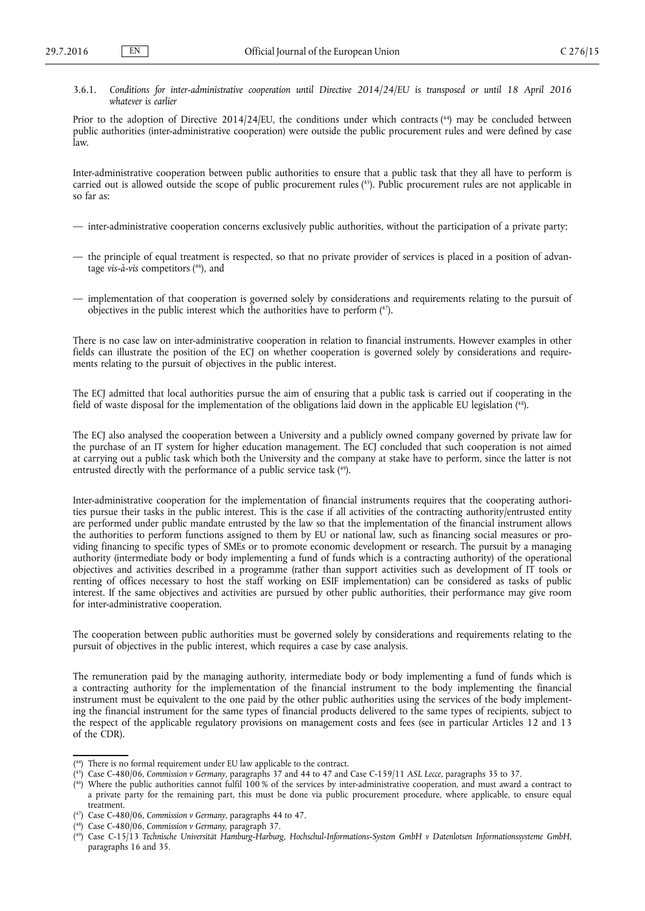<span id="page-14-0"></span>3.6.1. *Conditions for inter-administrative cooperation until Directive 2014/24/EU is transposed or until 18 April 2016 whatever is earlier*

Prior to the adoption of Directive 2014/24/EU, the conditions under which contracts (<sup>44</sup>) may be concluded between public authorities (inter-administrative cooperation) were outside the public procurement rules and were defined by case law.

Inter-administrative cooperation between public authorities to ensure that a public task that they all have to perform is carried out is allowed outside the scope of public procurement rules ( <sup>45</sup>). Public procurement rules are not applicable in so far as:

- inter-administrative cooperation concerns exclusively public authorities, without the participation of a private party;
- the principle of equal treatment is respected, so that no private provider of services is placed in a position of advantage *vis-à-vis* competitors ( <sup>46</sup>), and
- implementation of that cooperation is governed solely by considerations and requirements relating to the pursuit of objectives in the public interest which the authorities have to perform ( <sup>47</sup>).

There is no case law on inter-administrative cooperation in relation to financial instruments. However examples in other fields can illustrate the position of the ECJ on whether cooperation is governed solely by considerations and requirements relating to the pursuit of objectives in the public interest.

The ECJ admitted that local authorities pursue the aim of ensuring that a public task is carried out if cooperating in the field of waste disposal for the implementation of the obligations laid down in the applicable EU legislation ( <sup>48</sup>).

The ECJ also analysed the cooperation between a University and a publicly owned company governed by private law for the purchase of an IT system for higher education management. The ECJ concluded that such cooperation is not aimed at carrying out a public task which both the University and the company at stake have to perform, since the latter is not entrusted directly with the performance of a public service task (<sup>49</sup>).

Inter-administrative cooperation for the implementation of financial instruments requires that the cooperating authorities pursue their tasks in the public interest. This is the case if all activities of the contracting authority/entrusted entity are performed under public mandate entrusted by the law so that the implementation of the financial instrument allows the authorities to perform functions assigned to them by EU or national law, such as financing social measures or providing financing to specific types of SMEs or to promote economic development or research. The pursuit by a managing authority (intermediate body or body implementing a fund of funds which is a contracting authority) of the operational objectives and activities described in a programme (rather than support activities such as development of IT tools or renting of offices necessary to host the staff working on ESIF implementation) can be considered as tasks of public interest. If the same objectives and activities are pursued by other public authorities, their performance may give room for inter-administrative cooperation.

The cooperation between public authorities must be governed solely by considerations and requirements relating to the pursuit of objectives in the public interest, which requires a case by case analysis.

The remuneration paid by the managing authority, intermediate body or body implementing a fund of funds which is a contracting authority for the implementation of the financial instrument to the body implementing the financial instrument must be equivalent to the one paid by the other public authorities using the services of the body implementing the financial instrument for the same types of financial products delivered to the same types of recipients, subject to the respect of the applicable regulatory provisions on management costs and fees (see in particular Articles 12 and 13 of the CDR).

( <sup>47</sup>) Case C-480/06, *Commission v Germany*, paragraphs 44 to 47.

<sup>(</sup> <sup>44</sup>) There is no formal requirement under EU law applicable to the contract.

<sup>(</sup> <sup>45</sup>) Case C-480/06, *Commission v Germany*, paragraphs 37 and 44 to 47 and Case C-159/11 *ASL Lecce*, paragraphs 35 to 37.

<sup>(</sup> <sup>46</sup>) Where the public authorities cannot fulfil 100 % of the services by inter-administrative cooperation, and must award a contract to a private party for the remaining part, this must be done via public procurement procedure, where applicable, to ensure equal treatment.

<sup>(</sup> <sup>48</sup>) Case C-480/06, *Commission v Germany,* paragraph 37.

<sup>(</sup> <sup>49</sup>) Case C-15/13 *Technische Universität Hamburg-Harburg, Hochschul-Informations-System GmbH v Datenlotsen Informationssysteme GmbH*, paragraphs 16 and 35.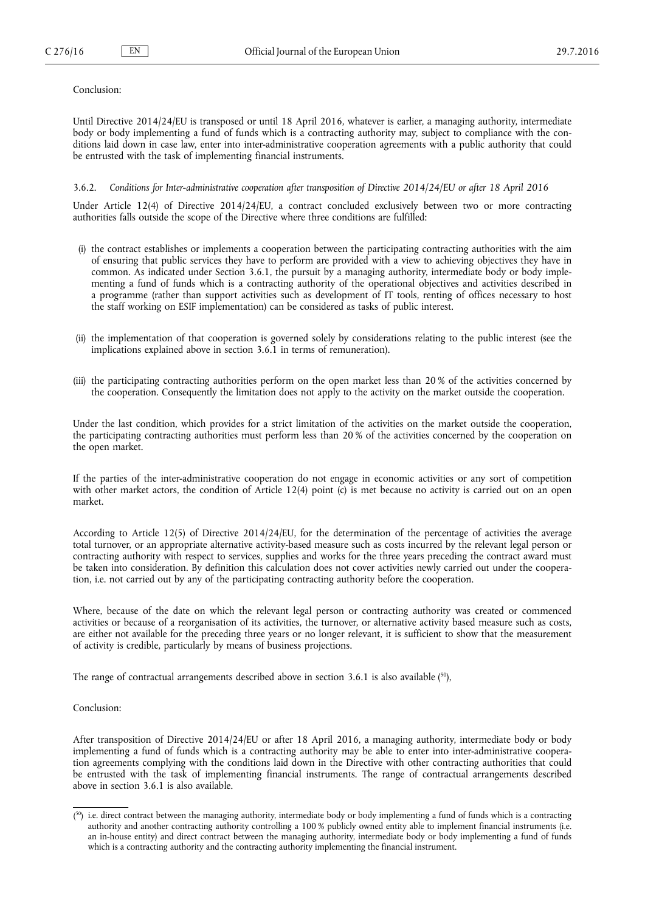## <span id="page-15-0"></span>Conclusion:

Until Directive 2014/24/EU is transposed or until 18 April 2016, whatever is earlier, a managing authority, intermediate body or body implementing a fund of funds which is a contracting authority may, subject to compliance with the conditions laid down in case law, enter into inter-administrative cooperation agreements with a public authority that could be entrusted with the task of implementing financial instruments.

#### 3.6.2. *Conditions for Inter-administrative cooperation after transposition of Directive 2014/24/EU or after 18 April 2016*

Under Article 12(4) of Directive 2014/24/EU, a contract concluded exclusively between two or more contracting authorities falls outside the scope of the Directive where three conditions are fulfilled:

- (i) the contract establishes or implements a cooperation between the participating contracting authorities with the aim of ensuring that public services they have to perform are provided with a view to achieving objectives they have in common. As indicated under Section 3.6.1, the pursuit by a managing authority, intermediate body or body implementing a fund of funds which is a contracting authority of the operational objectives and activities described in a programme (rather than support activities such as development of IT tools, renting of offices necessary to host the staff working on ESIF implementation) can be considered as tasks of public interest.
- (ii) the implementation of that cooperation is governed solely by considerations relating to the public interest (see the implications explained above in section 3.6.1 in terms of remuneration).
- (iii) the participating contracting authorities perform on the open market less than 20 % of the activities concerned by the cooperation. Consequently the limitation does not apply to the activity on the market outside the cooperation.

Under the last condition, which provides for a strict limitation of the activities on the market outside the cooperation, the participating contracting authorities must perform less than 20 % of the activities concerned by the cooperation on the open market.

If the parties of the inter-administrative cooperation do not engage in economic activities or any sort of competition with other market actors, the condition of Article 12(4) point (c) is met because no activity is carried out on an open market.

According to Article 12(5) of Directive 2014/24/EU, for the determination of the percentage of activities the average total turnover, or an appropriate alternative activity-based measure such as costs incurred by the relevant legal person or contracting authority with respect to services, supplies and works for the three years preceding the contract award must be taken into consideration. By definition this calculation does not cover activities newly carried out under the cooperation, i.e. not carried out by any of the participating contracting authority before the cooperation.

Where, because of the date on which the relevant legal person or contracting authority was created or commenced activities or because of a reorganisation of its activities, the turnover, or alternative activity based measure such as costs, are either not available for the preceding three years or no longer relevant, it is sufficient to show that the measurement of activity is credible, particularly by means of business projections.

The range of contractual arrangements described above in section 3.6.1 is also available (50),

# Conclusion:

After transposition of Directive 2014/24/EU or after 18 April 2016, a managing authority, intermediate body or body implementing a fund of funds which is a contracting authority may be able to enter into inter-administrative cooperation agreements complying with the conditions laid down in the Directive with other contracting authorities that could be entrusted with the task of implementing financial instruments. The range of contractual arrangements described above in section 3.6.1 is also available.

 $(50)$  i.e. direct contract between the managing authority, intermediate body or body implementing a fund of funds which is a contracting authority and another contracting authority controlling a 100 % publicly owned entity able to implement financial instruments (i.e. an in-house entity) and direct contract between the managing authority, intermediate body or body implementing a fund of funds which is a contracting authority and the contracting authority implementing the financial instrument.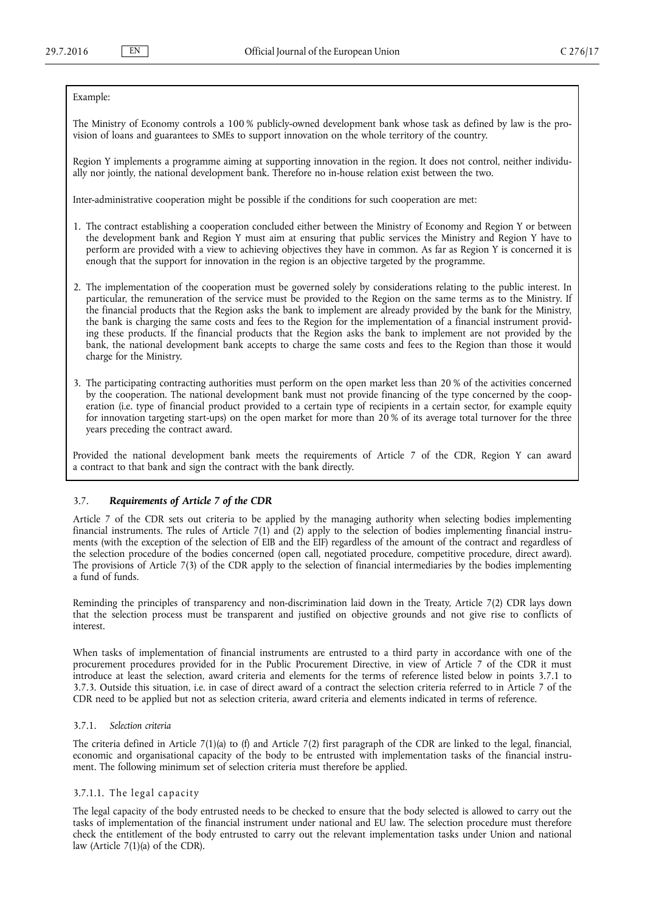#### <span id="page-16-0"></span>Example:

The Ministry of Economy controls a 100 % publicly-owned development bank whose task as defined by law is the provision of loans and guarantees to SMEs to support innovation on the whole territory of the country.

Region Y implements a programme aiming at supporting innovation in the region. It does not control, neither individually nor jointly, the national development bank. Therefore no in-house relation exist between the two.

Inter-administrative cooperation might be possible if the conditions for such cooperation are met:

- 1. The contract establishing a cooperation concluded either between the Ministry of Economy and Region Y or between the development bank and Region Y must aim at ensuring that public services the Ministry and Region Y have to perform are provided with a view to achieving objectives they have in common. As far as Region Y is concerned it is enough that the support for innovation in the region is an objective targeted by the programme.
- 2. The implementation of the cooperation must be governed solely by considerations relating to the public interest. In particular, the remuneration of the service must be provided to the Region on the same terms as to the Ministry. If the financial products that the Region asks the bank to implement are already provided by the bank for the Ministry, the bank is charging the same costs and fees to the Region for the implementation of a financial instrument providing these products. If the financial products that the Region asks the bank to implement are not provided by the bank, the national development bank accepts to charge the same costs and fees to the Region than those it would charge for the Ministry.
- 3. The participating contracting authorities must perform on the open market less than 20 % of the activities concerned by the cooperation. The national development bank must not provide financing of the type concerned by the cooperation (i.e. type of financial product provided to a certain type of recipients in a certain sector, for example equity for innovation targeting start-ups) on the open market for more than 20 % of its average total turnover for the three years preceding the contract award.

Provided the national development bank meets the requirements of Article 7 of the CDR, Region Y can award a contract to that bank and sign the contract with the bank directly.

# 3.7. *Requirements of Article 7 of the CDR*

Article 7 of the CDR sets out criteria to be applied by the managing authority when selecting bodies implementing financial instruments. The rules of Article 7(1) and (2) apply to the selection of bodies implementing financial instruments (with the exception of the selection of EIB and the EIF) regardless of the amount of the contract and regardless of the selection procedure of the bodies concerned (open call, negotiated procedure, competitive procedure, direct award). The provisions of Article 7(3) of the CDR apply to the selection of financial intermediaries by the bodies implementing a fund of funds.

Reminding the principles of transparency and non-discrimination laid down in the Treaty, Article 7(2) CDR lays down that the selection process must be transparent and justified on objective grounds and not give rise to conflicts of interest.

When tasks of implementation of financial instruments are entrusted to a third party in accordance with one of the procurement procedures provided for in the Public Procurement Directive, in view of Article 7 of the CDR it must introduce at least the selection, award criteria and elements for the terms of reference listed below in points 3.7.1 to 3.7.3. Outside this situation, i.e. in case of direct award of a contract the selection criteria referred to in Article 7 of the CDR need to be applied but not as selection criteria, award criteria and elements indicated in terms of reference.

# 3.7.1. *Selection criteria*

The criteria defined in Article 7(1)(a) to (f) and Article 7(2) first paragraph of the CDR are linked to the legal, financial, economic and organisational capacity of the body to be entrusted with implementation tasks of the financial instrument. The following minimum set of selection criteria must therefore be applied.

# $3.7.1.1.$  The legal capacity

The legal capacity of the body entrusted needs to be checked to ensure that the body selected is allowed to carry out the tasks of implementation of the financial instrument under national and EU law. The selection procedure must therefore check the entitlement of the body entrusted to carry out the relevant implementation tasks under Union and national law (Article 7(1)(a) of the CDR).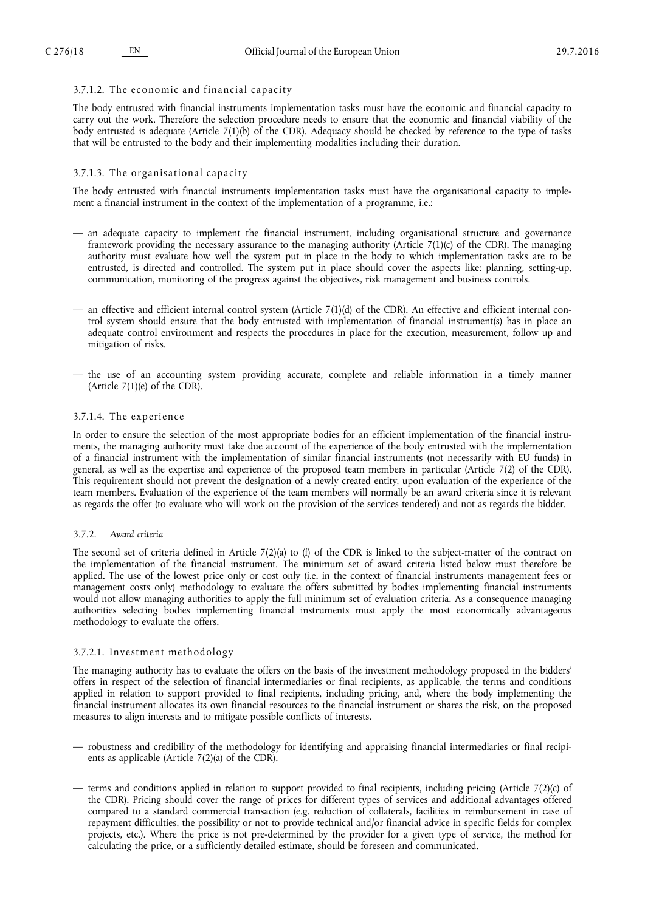# <span id="page-17-0"></span> $3.7.1.2$ . The economic and financial capacity

The body entrusted with financial instruments implementation tasks must have the economic and financial capacity to carry out the work. Therefore the selection procedure needs to ensure that the economic and financial viability of the body entrusted is adequate (Article 7(1)(b) of the CDR). Adequacy should be checked by reference to the type of tasks that will be entrusted to the body and their implementing modalities including their duration.

# $3.7.1.3.$  The organisational capacity

The body entrusted with financial instruments implementation tasks must have the organisational capacity to implement a financial instrument in the context of the implementation of a programme, i.e.:

- an adequate capacity to implement the financial instrument, including organisational structure and governance framework providing the necessary assurance to the managing authority (Article 7(1)(c) of the CDR). The managing authority must evaluate how well the system put in place in the body to which implementation tasks are to be entrusted, is directed and controlled. The system put in place should cover the aspects like: planning, setting-up, communication, monitoring of the progress against the objectives, risk management and business controls.
- an effective and efficient internal control system (Article 7(1)(d) of the CDR). An effective and efficient internal control system should ensure that the body entrusted with implementation of financial instrument(s) has in place an adequate control environment and respects the procedures in place for the execution, measurement, follow up and mitigation of risks.
- the use of an accounting system providing accurate, complete and reliable information in a timely manner (Article  $7(1)(e)$  of the CDR).

#### $3.7.1.4.$  The experience

In order to ensure the selection of the most appropriate bodies for an efficient implementation of the financial instruments, the managing authority must take due account of the experience of the body entrusted with the implementation of a financial instrument with the implementation of similar financial instruments (not necessarily with EU funds) in general, as well as the expertise and experience of the proposed team members in particular (Article 7(2) of the CDR). This requirement should not prevent the designation of a newly created entity, upon evaluation of the experience of the team members. Evaluation of the experience of the team members will normally be an award criteria since it is relevant as regards the offer (to evaluate who will work on the provision of the services tendered) and not as regards the bidder.

#### 3.7.2. *Award criteria*

The second set of criteria defined in Article  $7(2)(a)$  to (f) of the CDR is linked to the subject-matter of the contract on the implementation of the financial instrument. The minimum set of award criteria listed below must therefore be applied. The use of the lowest price only or cost only (i.e. in the context of financial instruments management fees or management costs only) methodology to evaluate the offers submitted by bodies implementing financial instruments would not allow managing authorities to apply the full minimum set of evaluation criteria. As a consequence managing authorities selecting bodies implementing financial instruments must apply the most economically advantageous methodology to evaluate the offers.

## 3.7.2.1. Investment methodology

The managing authority has to evaluate the offers on the basis of the investment methodology proposed in the bidders' offers in respect of the selection of financial intermediaries or final recipients, as applicable, the terms and conditions applied in relation to support provided to final recipients, including pricing, and, where the body implementing the financial instrument allocates its own financial resources to the financial instrument or shares the risk, on the proposed measures to align interests and to mitigate possible conflicts of interests.

- robustness and credibility of the methodology for identifying and appraising financial intermediaries or final recipients as applicable (Article 7(2)(a) of the CDR).
- terms and conditions applied in relation to support provided to final recipients, including pricing (Article 7(2)(c) of the CDR). Pricing should cover the range of prices for different types of services and additional advantages offered compared to a standard commercial transaction (e.g. reduction of collaterals, facilities in reimbursement in case of repayment difficulties, the possibility or not to provide technical and/or financial advice in specific fields for complex projects, etc.). Where the price is not pre-determined by the provider for a given type of service, the method for calculating the price, or a sufficiently detailed estimate, should be foreseen and communicated.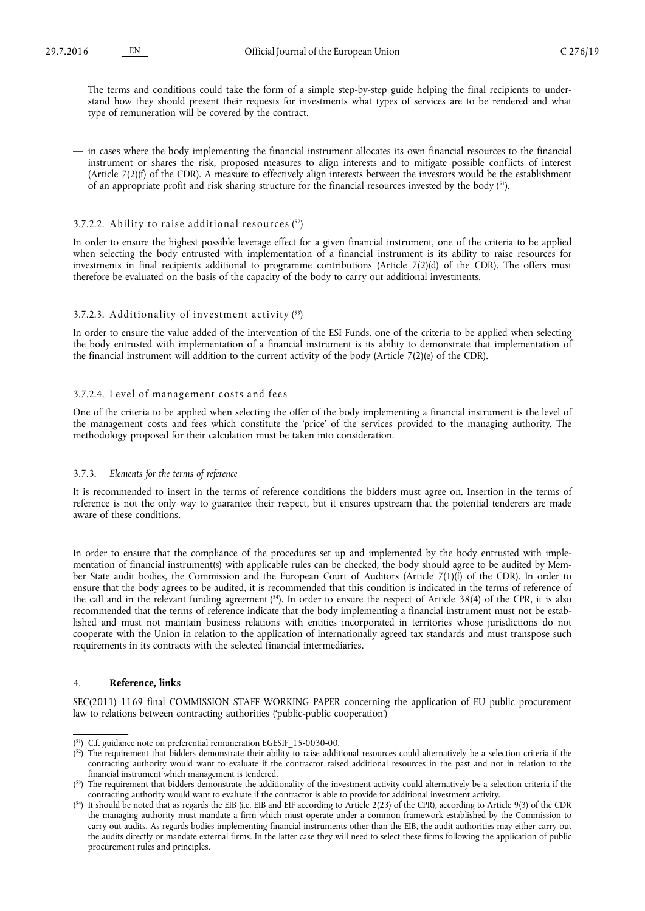<span id="page-18-0"></span>The terms and conditions could take the form of a simple step-by-step guide helping the final recipients to understand how they should present their requests for investments what types of services are to be rendered and what type of remuneration will be covered by the contract.

— in cases where the body implementing the financial instrument allocates its own financial resources to the financial instrument or shares the risk, proposed measures to align interests and to mitigate possible conflicts of interest (Article 7(2)(f) of the CDR). A measure to effectively align interests between the investors would be the establishment of an appropriate profit and risk sharing structure for the financial resources invested by the body ( <sup>51</sup>).

#### 3.7.2.2. A bility to raise additional resources  $(52)$

In order to ensure the highest possible leverage effect for a given financial instrument, one of the criteria to be applied when selecting the body entrusted with implementation of a financial instrument is its ability to raise resources for investments in final recipients additional to programme contributions (Article 7(2)(d) of the CDR). The offers must therefore be evaluated on the basis of the capacity of the body to carry out additional investments.

#### 3.7.2.3. Additionality of investment activity  $(53)$

In order to ensure the value added of the intervention of the ESI Funds, one of the criteria to be applied when selecting the body entrusted with implementation of a financial instrument is its ability to demonstrate that implementation of the financial instrument will addition to the current activity of the body (Article 7(2)(e) of the CDR).

#### 3.7.2.4. Level of management costs and fees

One of the criteria to be applied when selecting the offer of the body implementing a financial instrument is the level of the management costs and fees which constitute the 'price' of the services provided to the managing authority. The methodology proposed for their calculation must be taken into consideration.

#### 3.7.3. *Elements for the terms of reference*

It is recommended to insert in the terms of reference conditions the bidders must agree on. Insertion in the terms of reference is not the only way to guarantee their respect, but it ensures upstream that the potential tenderers are made aware of these conditions.

In order to ensure that the compliance of the procedures set up and implemented by the body entrusted with implementation of financial instrument(s) with applicable rules can be checked, the body should agree to be audited by Member State audit bodies, the Commission and the European Court of Auditors (Article 7(1)(f) of the CDR). In order to ensure that the body agrees to be audited, it is recommended that this condition is indicated in the terms of reference of the call and in the relevant funding agreement  $(54)$ . In order to ensure the respect of Article 38(4) of the CPR, it is also recommended that the terms of reference indicate that the body implementing a financial instrument must not be established and must not maintain business relations with entities incorporated in territories whose jurisdictions do not cooperate with the Union in relation to the application of internationally agreed tax standards and must transpose such requirements in its contracts with the selected financial intermediaries.

# 4. **Reference, links**

SEC(2011) 1169 final COMMISSION STAFF WORKING PAPER concerning the application of EU public procurement law to relations between contracting authorities ('public-public cooperation')

<sup>(</sup> <sup>51</sup>) C.f. guidance note on preferential remuneration EGESIF\_15-0030-00.

 $^{52}$ ) The requirement that bidders demonstrate their ability to raise additional resources could alternatively be a selection criteria if the contracting authority would want to evaluate if the contractor raised additional resources in the past and not in relation to the financial instrument which management is tendered.

 $(5^3)$  The requirement that bidders demonstrate the additionality of the investment activity could alternatively be a selection criteria if the contracting authority would want to evaluate if the contractor is able to provide for additional investment activity.

 $^{54}$ ) It should be noted that as regards the EIB (i.e. EIB and EIF according to Article 2(23) of the CPR), according to Article 9(3) of the CDR the managing authority must mandate a firm which must operate under a common framework established by the Commission to carry out audits. As regards bodies implementing financial instruments other than the EIB, the audit authorities may either carry out the audits directly or mandate external firms. In the latter case they will need to select these firms following the application of public procurement rules and principles.